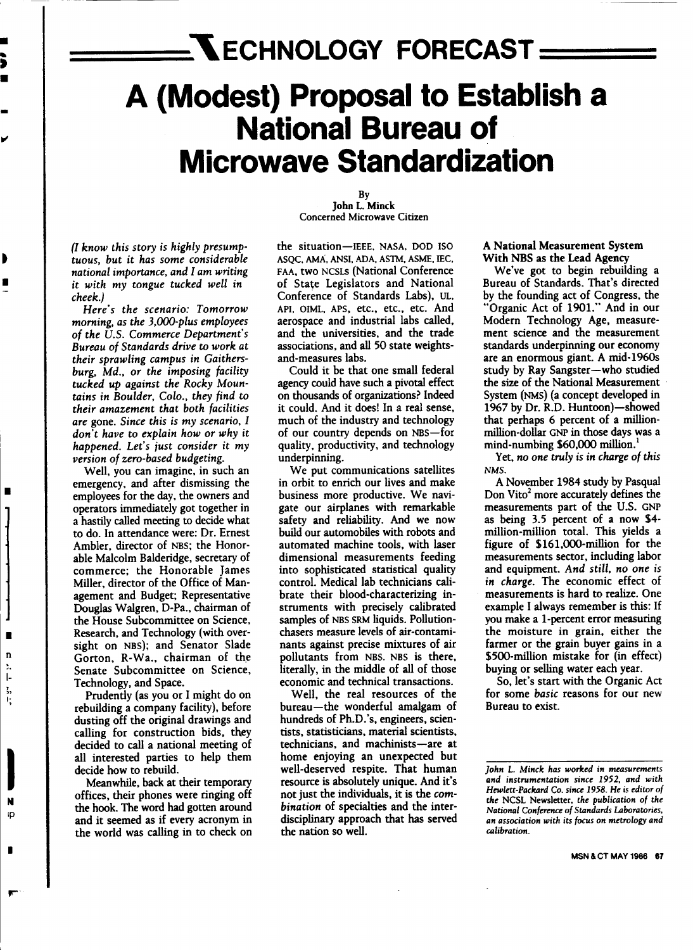# $=$ **NECHNOLOGY FORECAST= A (Modest) Proposal to Establish a National Bureau of Microwave Standardization**

*(1 know this story* is *highly presumptuous, but* it *has some considerable national importance, and* 1*am writing* it *with my tongue tucked well in cheek.)*

*Here's the scenario: Tomorrow morning, as the 3,OOO-plus employees of the U.S. Commerce Department's Bureau of Standards drive* to *work at their sprawling campus in Gaithersburg, Md., or the imposing facility tucked up against the Rocky Mountains in Boulder, Colo., they find* to *their amazement that both facilities are* gone. *Since this* is *my scenario, 1 don't have* to *explain how or why* it *happened. Let's just consider* it *my version ofzero-based budgeting.*

Well, you can imagine, in such an emergency, and after dismissing the employees for the day. the owners and operators immediately got together in a hastily called meeting to decide what to do. In attendance were: Dr. Ernest Ambler. director of NBS; the Honorable Malcolm Balderidge. secretary of commerce; the Honorable James Miller. director of the Office of Management and Budget; Representative Douglas Walgren, D-Pa., chairman of the House Subcommittee on Science. Research. and Technology (with oversight on NBS); and Senator Slade Gorton. R-Wa., chairman of the Senate Subcommittee on Science. Technology. and Space.

Prudently (as you or I might do on rebuilding a company facility). before dusting off the original drawings and calling for construction bids. they decided to call a national meeting of all interested parties to help them decide how to rebuild.

Meanwhile. back at their temporary offices. their phones were ringing off the hook. The word had gotten around and it seemed as if every acronym in the world was calling in to check on

By John L. Minck Concerned Microwave Citizen

the situation-IEEE. NASA, DOD ISO ASQC, AMA, ANSI, ADA, ASTM, ASME. IEC. FAA. two NCSLs (National Conference of State Legislators and National Conference of Standards Labs). UL, API, OIML, APS, etc., etc., etc. And aerospace and industrial labs called. and the universities, and the trade associations. and all 50 state weightsand-measures labs.

Could it be that one small federal agency could have such a pivotal effect on thousands of organizations? Indeed it could. And it does! In a real sense. much of the industry and technology of our country depends on NBS-for quality. productivity. and technology underpinning.

We put communications satellites in orbit to enrich our lives and make business more productive. We navigate our airplanes with remarkable safety and reliability. And we now build our automobiles with robots and automated machine tools. with laser dimensional measurements feeding into sophisticated statistical quality control. Medical lab technicians calibrate their blood-characterizing instruments with precisely calibrated samples of NBS SRM liquids. Pollutionchasers measure levels of air-contaminants against precise mixtures of air pollutants from NBS. NBS is there. literally, in the middle of all of those economic and technical transactions.

Well. the real resources of the bureau-the wonderful amalgam of hundreds of Ph.D.'s. engineers. scientists. statisticians. material scientists. technicians, and machinists-are at home enjoying an unexpected but well-deserved respite. That human resource is absolutely unique. And it's not just the individuals. it is the com*bination* of specialties and the interdisciplinary approach that has served the nation so well.

### A National Measurement System With NBS as the Lead Agency

We've got to begin rebuilding a Bureau of Standards. That's directed by the founding act of Congress, the "Organic Act of 1901." And in our Modern Technology Age. measurement science and the measurement standards underpinning our economy are an enormous giant. A mid-1960s study by Ray Sangster-who studied the size of the National Measurement System (NMS) (a concept developed in 1967 by Dr. R.D. Huntoon)-showed that perhaps 6 percent of a millionmillion-dollar GNP in those days was a mind-numbing \$60,000 million.<sup>1</sup>

Yet, *no one truly is in charge of this* NMS.

A November 1984 study by Pasqual Don Vito<sup>2</sup> more accurately defines the measurements part of the U.S. GNP as being 3.5 percent of a now \$4 million-million total. This yields a figure of \$161.000-million for the measurements sector. including labor and equipment. *And still. no one is in charge.* The economic effect of measurements is hard to realize. One example I always remember is this: If you make a I-percent error measuring the moisture in grain. either the farmer or the grain buyer gains in a \$500-million mistake for (in effect) buying or selling water each year.

So. let's start with the Organic Act for some *basic* reasons for our new Bureau to exist.

*John* L. *Minck has worked* in *measurements and instrumentation since* 1952, *and with Hewlett-Packard Co. since* 1958. *He* is *editor of the* NCSL Newsletter, *the publication of the National Conference of Standards Laboratories. an association with* its *focus* on *metrology and calibration.*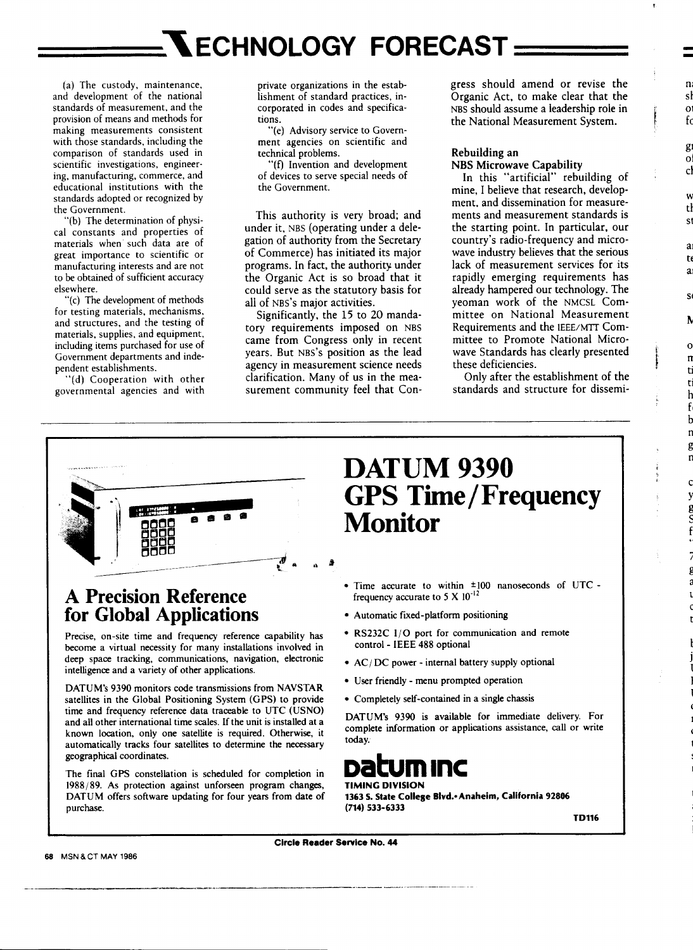(a) The custody, maintenance, and development of the national standards of measurement, and the provision of means and methods for making measurements consistent with those standards, including the comparison of standards used in scientific investigations, engineering, manufacturing, commerce, and educational institutions with the standards adopted or recognized by the Government.

"(b) The determination of physical constants and properties of materials when· such data are of great importance to scientific or manufacturing interests and are not to be obtained of sufficient accuracy elsewhere.

"(c) The development of methods for testing materials, mechanisms, and structures, and the testing of materials, supplies, and equipment, including items purchased for use of Government departments and independent establishments.

"(d) Cooperation with other governmental agencies and with private organizations in the establishment of standard practices, incorporated in codes and specifications.

"(e) Advisory service to Government agencies on scientific and technical problems.

"(f) Invention and development of devices to serve special needs of the Government.

This authority is very broad; and under it, NBS (operating under a delegation of authority from the Secretary of Commerce) has initiated its major programs. In fact, the authority under the Organic Act is so broad that it could serve as the statutory basis for all of NBS's major activities.

Significantly, the 15 to 20 mandatory requirements imposed on NBS came from Congress only in recent years. But NBS'S position as the lead agency in measurement science needs clarification. Many of us in the measurement community feel that Congress should amend or revise the Organic Act, to make clear that the NBS should assume a leadership role in the National Measurement System.

### Rebuilding an NBS Microwave Capability

In this "artificial" rebuilding of mine, I believe that research, development, and dissemination for measurements and measurement standards is the starting point. In particular, our country's radio-frequency and microwave industry believes that the serious lack of measurement services for its rapidly emerging requirements has already hampered our technology. The yeoman work of the NMCSL Committee on National Measurement Requirements and the IEEE/MTI Committee to Promote National Microwave Standards has clearly presented these deficiencies.

Only after the establishment of the standards and structure for dissemi-



### **A Precision Reference for Global Applications**

Precise, on-site time and frequency reference capability has become a virtual necessity for many installations involved in deep space tracking, communications, navigation, electronic intelligence and a variety of other applications.

DATUM's 9390 monitors code transmissions from NAVSTAR satellites in the Global Positioning System (GPS) to provide time and frequency reference data traceable to UTC (USNO) and all other international time scales. If the unit is installed at a known location, only one satellite is required. Otherwise, it automatically tracks four satellites to determine the necessary geographical coordinates.

The final GPS constellation is scheduled for completion in 1988/89. As protection against unforseen program changes, DATUM offers software updating for four years from date of purchase.

### DATUM 9390 **GPS Time/Frequency Monitor**

- Time accurate to within ±100 nanoseconds of UTCfrequency accurate to 5 X  $10^{-12}$
- Automatic fixed-platform positioning
- RS232C I/O port for communication and remote control - IEEE 488 optional
- AC/DC power internal battery supply optional
- User friendly menu prompted operation
- Completely self-contained in a single chassis

DATUM's 9390 is available for immediate delivery. For complete information or applications assistance, call or write today.

## **Datum** Inc

### TIMING DIVISION

1363 S. State College Blvd.- Anaheim, California 92806 (714) 533·6333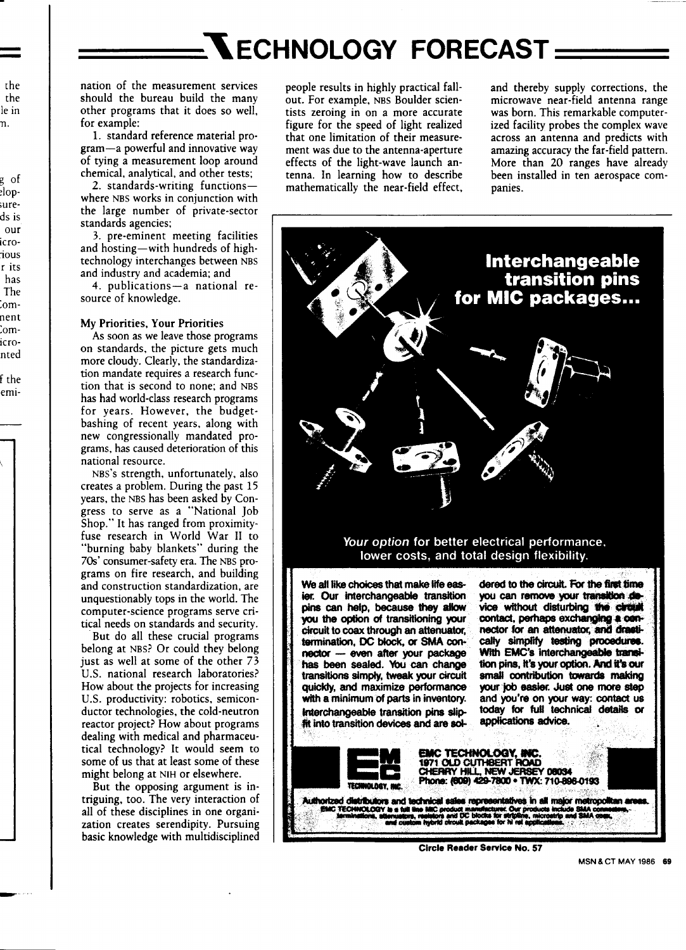# **NECHNOLOGY FORECAST:**

nation of the measurement services should the bureau build the many other programs that it does so well. for example:

1. standard reference material program-a powerful and innovative way of tying a measurement loop around chemical, analytical, and other tests;

2. standards-writing functionswhere NBS works in conjunction with the large number of private-sector standards agencies;

3. pre-eminent meeting facilities and hosting-with hundreds of hightechnology interchanges between NBS and industry and academia; and

4. publications-a national resource of knowledge.

### My Priorities, Your Priorities

As soon as we leave those programs on standards, the picture gets much more cloudy. Clearly, the standardization mandate requires a research function that is second to none; and NBS has had world-class research programs for years. However, the budgetbashing of recent years, along with new congressionally mandated programs, has caused deterioration of this national resource.

NBS's strength, unfortunately, also creates a problem. During the past 15 years, the NBS has been asked by Congress to serve as a "National Job Shop." It has ranged from proximityfuse research in World War II to "burning baby blankets" during the 70s' consumer-safety era. The NBS programs on fire research, and building and construction standardization, are unquestionably tops in the world. The computer-science programs serve critical needs on standards and security.

But do all these crucial programs belong at NBS? Or could they belong just as well at some of the other 73 U.S. national research laboratories? How about the projects for increasing U.S. productivity: robotics, semiconductor technologies, the cold-neutron reactor project? How about programs dealing with medical and pharmaceutical technology? It would seem to some of us that at least some of these might belong at NIH or elsewhere.

But the opposing argument is intriguing, too. The very interaction of all of these disciplines in one organization creates serendipity. Pursuing basic knowledge with multidisciplined

people results in highly practical fallout. For example, NBS Boulder scientists zeroing in on a more accurate figure for the speed of light realized that one limitation of their measurement was due to the antenna-aperture effects of the light-wave launch antenna. In learning how to describe mathematically the near-field effect,

and thereby supply corrections, the microwave near-field antenna range was born. This remarkable computerized facility probes the complex wave across an antenna and predicts with amazing accuracy the far-field pattern. More than 20 ranges have already been installed in ten aerospace companies.



Circle Reader Service No. 57